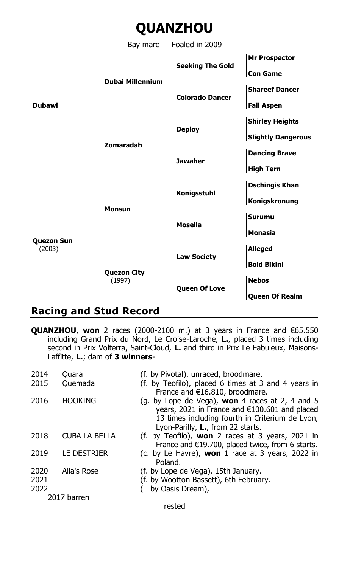

# **Racing and Stud Record**

**QUANZHOU**, **won** 2 races (2000-2100 m.) at 3 years in France and €65.550 including Grand Prix du Nord, Le Croise-Laroche, **L.**, placed 3 times including second in Prix Volterra, Saint-Cloud, **L.** and third in Prix Le Fabuleux, Maisons-Laffitte, **L.**; dam of **3 winners**-

| 2014                 | Ouara                | (f. by Pivotal), unraced, broodmare.                                                                                                                                                                    |
|----------------------|----------------------|---------------------------------------------------------------------------------------------------------------------------------------------------------------------------------------------------------|
| 2015                 | Quemada              | (f. by Teofilo), placed 6 times at 3 and 4 years in<br>France and €16.810, broodmare.                                                                                                                   |
| 2016                 | <b>HOOKING</b>       | (g. by Lope de Vega), <b>won</b> 4 races at 2, 4 and 5<br>years, 2021 in France and €100.601 and placed<br>13 times including fourth in Criterium de Lyon,<br>Lyon-Parilly, <b>L.</b> , from 22 starts. |
| 2018                 | <b>CUBA LA BELLA</b> | (f. by Teofilo), <b>won</b> 2 races at 3 years, 2021 in<br>France and $E$ 19.700, placed twice, from 6 starts.                                                                                          |
| 2019                 | LE DESTRIER          | (c. by Le Havre), <b>won</b> 1 race at 3 years, 2022 in<br>Poland.                                                                                                                                      |
| 2020<br>2021<br>2022 | Alia's Rose          | (f. by Lope de Vega), 15th January.<br>(f. by Wootton Bassett), 6th February.<br>by Oasis Dream),                                                                                                       |
|                      | 2017 barren          |                                                                                                                                                                                                         |
|                      |                      |                                                                                                                                                                                                         |

rested